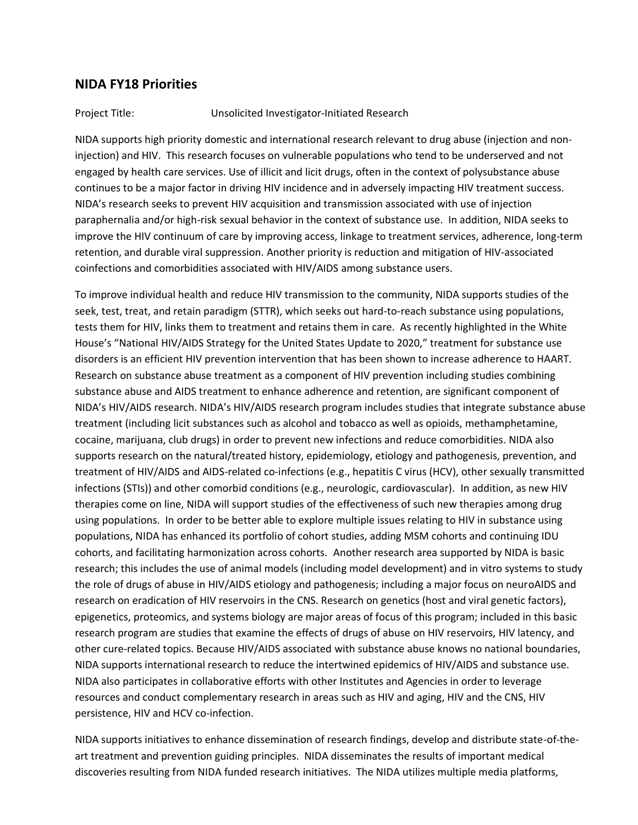# **NIDA FY18 Priorities**

#### Project Title: Unsolicited Investigator-Initiated Research

NIDA supports high priority domestic and international research relevant to drug abuse (injection and noninjection) and HIV. This research focuses on vulnerable populations who tend to be underserved and not engaged by health care services. Use of illicit and licit drugs, often in the context of polysubstance abuse continues to be a major factor in driving HIV incidence and in adversely impacting HIV treatment success. NIDA's research seeks to prevent HIV acquisition and transmission associated with use of injection paraphernalia and/or high-risk sexual behavior in the context of substance use. In addition, NIDA seeks to improve the HIV continuum of care by improving access, linkage to treatment services, adherence, long-term retention, and durable viral suppression. Another priority is reduction and mitigation of HIV-associated coinfections and comorbidities associated with HIV/AIDS among substance users.

To improve individual health and reduce HIV transmission to the community, NIDA supports studies of the seek, test, treat, and retain paradigm (STTR), which seeks out hard-to-reach substance using populations, tests them for HIV, links them to treatment and retains them in care. As recently highlighted in the White House's "National HIV/AIDS Strategy for the United States Update to 2020," treatment for substance use disorders is an efficient HIV prevention intervention that has been shown to increase adherence to HAART. Research on substance abuse treatment as a component of HIV prevention including studies combining substance abuse and AIDS treatment to enhance adherence and retention, are significant component of NIDA's HIV/AIDS research. NIDA's HIV/AIDS research program includes studies that integrate substance abuse treatment (including licit substances such as alcohol and tobacco as well as opioids, methamphetamine, cocaine, marijuana, club drugs) in order to prevent new infections and reduce comorbidities. NIDA also supports research on the natural/treated history, epidemiology, etiology and pathogenesis, prevention, and treatment of HIV/AIDS and AIDS-related co-infections (e.g., hepatitis C virus (HCV), other sexually transmitted infections (STIs)) and other comorbid conditions (e.g., neurologic, cardiovascular). In addition, as new HIV therapies come on line, NIDA will support studies of the effectiveness of such new therapies among drug using populations. In order to be better able to explore multiple issues relating to HIV in substance using populations, NIDA has enhanced its portfolio of cohort studies, adding MSM cohorts and continuing IDU cohorts, and facilitating harmonization across cohorts. Another research area supported by NIDA is basic research; this includes the use of animal models (including model development) and in vitro systems to study the role of drugs of abuse in HIV/AIDS etiology and pathogenesis; including a major focus on neuroAIDS and research on eradication of HIV reservoirs in the CNS. Research on genetics (host and viral genetic factors), epigenetics, proteomics, and systems biology are major areas of focus of this program; included in this basic research program are studies that examine the effects of drugs of abuse on HIV reservoirs, HIV latency, and other cure-related topics. Because HIV/AIDS associated with substance abuse knows no national boundaries, NIDA supports international research to reduce the intertwined epidemics of HIV/AIDS and substance use. NIDA also participates in collaborative efforts with other Institutes and Agencies in order to leverage resources and conduct complementary research in areas such as HIV and aging, HIV and the CNS, HIV persistence, HIV and HCV co-infection.

NIDA supports initiatives to enhance dissemination of research findings, develop and distribute state-of-theart treatment and prevention guiding principles. NIDA disseminates the results of important medical discoveries resulting from NIDA funded research initiatives. The NIDA utilizes multiple media platforms,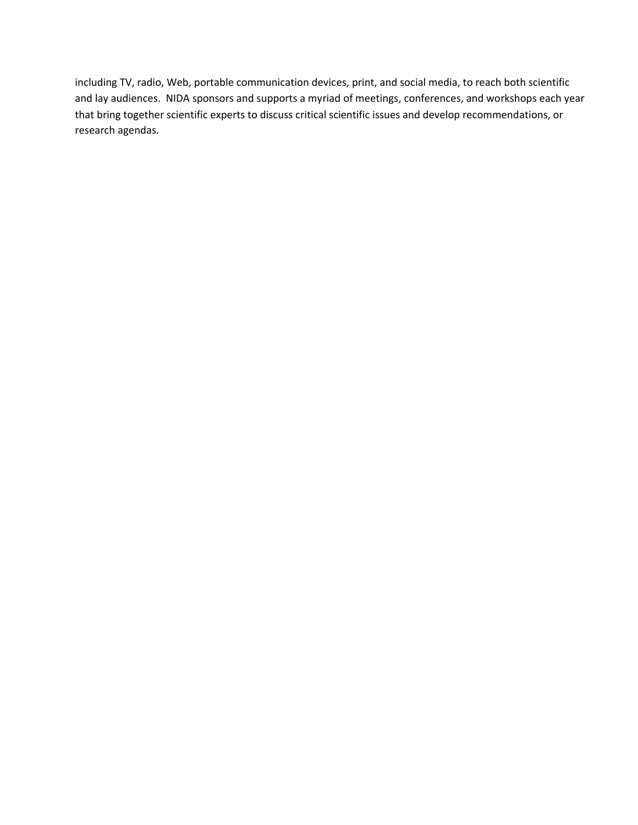including TV, radio, Web, portable communication devices, print, and social media, to reach both scientific and lay audiences. NIDA sponsors and supports a myriad of meetings, conferences, and workshops each year that bring together scientific experts to discuss critical scientific issues and develop recommendations, or research agendas.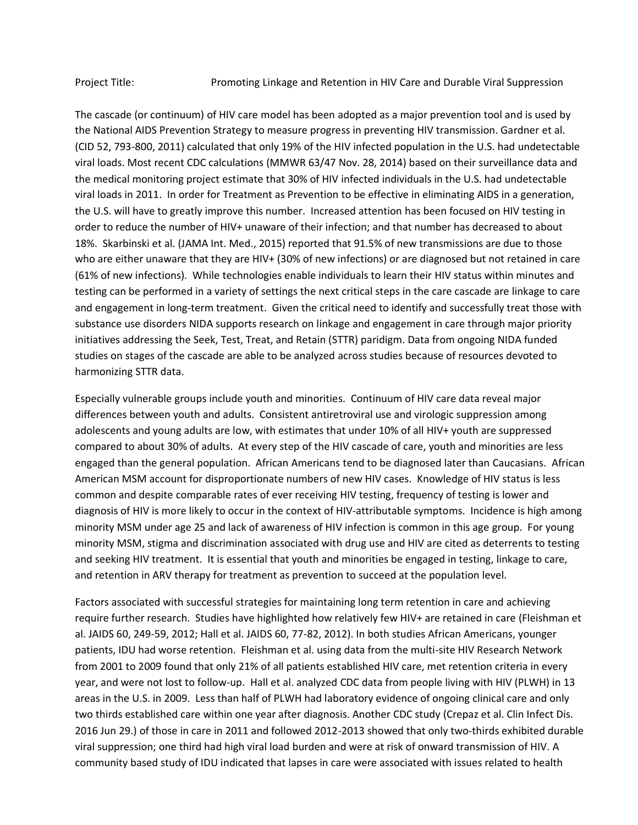The cascade (or continuum) of HIV care model has been adopted as a major prevention tool and is used by the National AIDS Prevention Strategy to measure progress in preventing HIV transmission. Gardner et al. (CID 52, 793-800, 2011) calculated that only 19% of the HIV infected population in the U.S. had undetectable viral loads. Most recent CDC calculations (MMWR 63/47 Nov. 28, 2014) based on their surveillance data and the medical monitoring project estimate that 30% of HIV infected individuals in the U.S. had undetectable viral loads in 2011. In order for Treatment as Prevention to be effective in eliminating AIDS in a generation, the U.S. will have to greatly improve this number. Increased attention has been focused on HIV testing in order to reduce the number of HIV+ unaware of their infection; and that number has decreased to about 18%. Skarbinski et al. (JAMA Int. Med., 2015) reported that 91.5% of new transmissions are due to those who are either unaware that they are HIV+ (30% of new infections) or are diagnosed but not retained in care (61% of new infections). While technologies enable individuals to learn their HIV status within minutes and testing can be performed in a variety of settings the next critical steps in the care cascade are linkage to care and engagement in long-term treatment. Given the critical need to identify and successfully treat those with substance use disorders NIDA supports research on linkage and engagement in care through major priority initiatives addressing the Seek, Test, Treat, and Retain (STTR) paridigm. Data from ongoing NIDA funded studies on stages of the cascade are able to be analyzed across studies because of resources devoted to harmonizing STTR data.

Especially vulnerable groups include youth and minorities. Continuum of HIV care data reveal major differences between youth and adults. Consistent antiretroviral use and virologic suppression among adolescents and young adults are low, with estimates that under 10% of all HIV+ youth are suppressed compared to about 30% of adults. At every step of the HIV cascade of care, youth and minorities are less engaged than the general population. African Americans tend to be diagnosed later than Caucasians. African American MSM account for disproportionate numbers of new HIV cases. Knowledge of HIV status is less common and despite comparable rates of ever receiving HIV testing, frequency of testing is lower and diagnosis of HIV is more likely to occur in the context of HIV-attributable symptoms. Incidence is high among minority MSM under age 25 and lack of awareness of HIV infection is common in this age group. For young minority MSM, stigma and discrimination associated with drug use and HIV are cited as deterrents to testing and seeking HIV treatment. It is essential that youth and minorities be engaged in testing, linkage to care, and retention in ARV therapy for treatment as prevention to succeed at the population level.

Factors associated with successful strategies for maintaining long term retention in care and achieving require further research. Studies have highlighted how relatively few HIV+ are retained in care (Fleishman et al. JAIDS 60, 249-59, 2012; Hall et al. JAIDS 60, 77-82, 2012). In both studies African Americans, younger patients, IDU had worse retention. Fleishman et al. using data from the multi-site HIV Research Network from 2001 to 2009 found that only 21% of all patients established HIV care, met retention criteria in every year, and were not lost to follow-up. Hall et al. analyzed CDC data from people living with HIV (PLWH) in 13 areas in the U.S. in 2009. Less than half of PLWH had laboratory evidence of ongoing clinical care and only two thirds established care within one year after diagnosis. Another CDC study (Crepaz et al. Clin Infect Dis. 2016 Jun 29.) of those in care in 2011 and followed 2012-2013 showed that only two-thirds exhibited durable viral suppression; one third had high viral load burden and were at risk of onward transmission of HIV. A community based study of IDU indicated that lapses in care were associated with issues related to health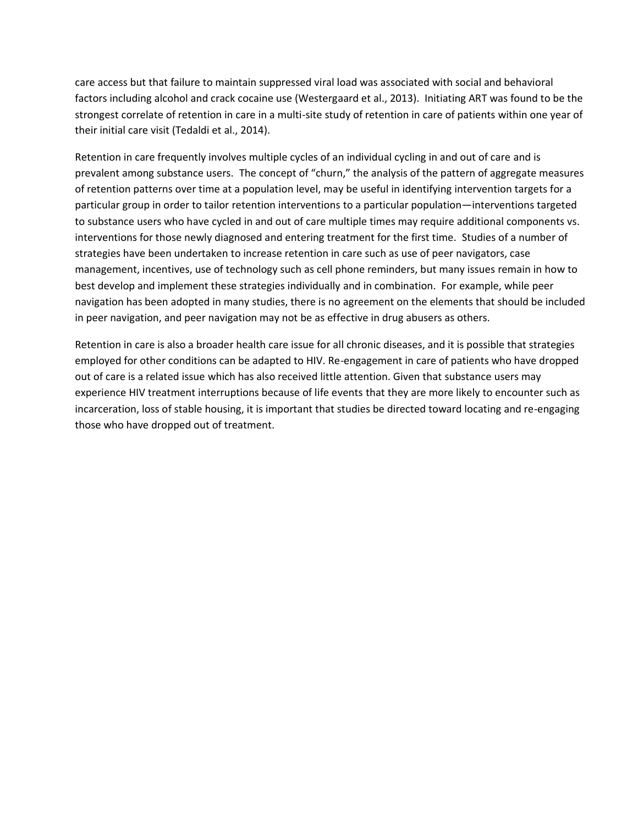care access but that failure to maintain suppressed viral load was associated with social and behavioral factors including alcohol and crack cocaine use (Westergaard et al., 2013). Initiating ART was found to be the strongest correlate of retention in care in a multi-site study of retention in care of patients within one year of their initial care visit (Tedaldi et al., 2014).

Retention in care frequently involves multiple cycles of an individual cycling in and out of care and is prevalent among substance users. The concept of "churn," the analysis of the pattern of aggregate measures of retention patterns over time at a population level, may be useful in identifying intervention targets for a particular group in order to tailor retention interventions to a particular population—interventions targeted to substance users who have cycled in and out of care multiple times may require additional components vs. interventions for those newly diagnosed and entering treatment for the first time. Studies of a number of strategies have been undertaken to increase retention in care such as use of peer navigators, case management, incentives, use of technology such as cell phone reminders, but many issues remain in how to best develop and implement these strategies individually and in combination. For example, while peer navigation has been adopted in many studies, there is no agreement on the elements that should be included in peer navigation, and peer navigation may not be as effective in drug abusers as others.

Retention in care is also a broader health care issue for all chronic diseases, and it is possible that strategies employed for other conditions can be adapted to HIV. Re-engagement in care of patients who have dropped out of care is a related issue which has also received little attention. Given that substance users may experience HIV treatment interruptions because of life events that they are more likely to encounter such as incarceration, loss of stable housing, it is important that studies be directed toward locating and re-engaging those who have dropped out of treatment.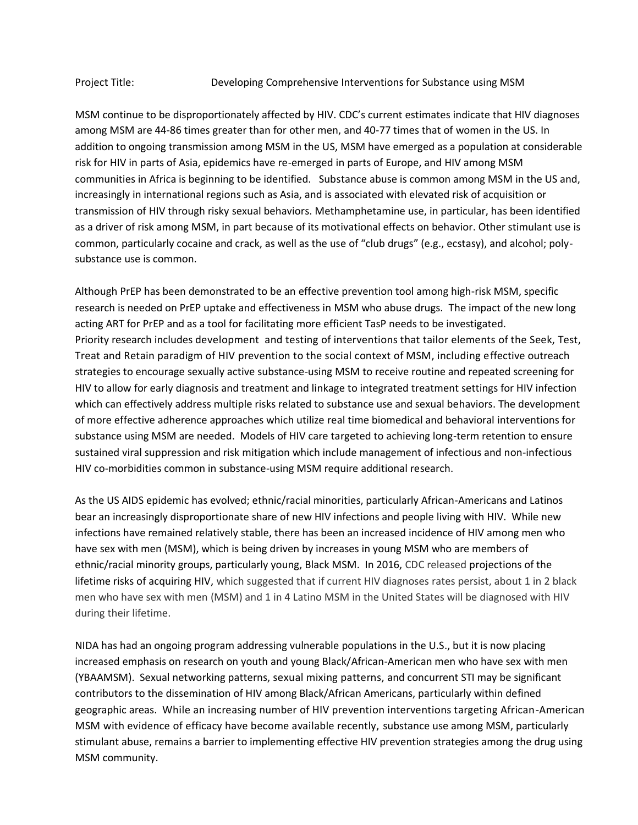MSM continue to be disproportionately affected by HIV. CDC's current estimates indicate that HIV diagnoses among MSM are 44-86 times greater than for other men, and 40-77 times that of women in the US. In addition to ongoing transmission among MSM in the US, MSM have emerged as a population at considerable risk for HIV in parts of Asia, epidemics have re-emerged in parts of Europe, and HIV among MSM communities in Africa is beginning to be identified. Substance abuse is common among MSM in the US and, increasingly in international regions such as Asia, and is associated with elevated risk of acquisition or transmission of HIV through risky sexual behaviors. Methamphetamine use, in particular, has been identified as a driver of risk among MSM, in part because of its motivational effects on behavior. Other stimulant use is common, particularly cocaine and crack, as well as the use of "club drugs" (e.g., ecstasy), and alcohol; polysubstance use is common.

Although PrEP has been demonstrated to be an effective prevention tool among high-risk MSM, specific research is needed on PrEP uptake and effectiveness in MSM who abuse drugs. The impact of the new long acting ART for PrEP and as a tool for facilitating more efficient TasP needs to be investigated. Priority research includes development and testing of interventions that tailor elements of the Seek, Test, Treat and Retain paradigm of HIV prevention to the social context of MSM, including effective outreach strategies to encourage sexually active substance-using MSM to receive routine and repeated screening for HIV to allow for early diagnosis and treatment and linkage to integrated treatment settings for HIV infection which can effectively address multiple risks related to substance use and sexual behaviors. The development of more effective adherence approaches which utilize real time biomedical and behavioral interventions for substance using MSM are needed. Models of HIV care targeted to achieving long-term retention to ensure sustained viral suppression and risk mitigation which include management of infectious and non-infectious HIV co-morbidities common in substance-using MSM require additional research.

As the US AIDS epidemic has evolved; ethnic/racial minorities, particularly African-Americans and Latinos bear an increasingly disproportionate share of new HIV infections and people living with HIV. While new infections have remained relatively stable, there has been an increased incidence of HIV among men who have sex with men (MSM), which is being driven by increases in young MSM who are members of ethnic/racial minority groups, particularly young, Black MSM. In 2016, CDC released [projections of the](https://blog.aids.gov/2016/02/half-of-black-gay-men-and-a-quarter-of-latino-gay-men-projected-to-be-diagnosed-within-their-lifetime.html)  [lifetime risks of acquiring HIV,](https://blog.aids.gov/2016/02/half-of-black-gay-men-and-a-quarter-of-latino-gay-men-projected-to-be-diagnosed-within-their-lifetime.html) which suggested that if current HIV diagnoses rates persist, about 1 in 2 black men who have sex with men (MSM) and 1 in 4 Latino MSM in the United States will be diagnosed with HIV during their lifetime.

NIDA has had an ongoing program addressing vulnerable populations in the U.S., but it is now placing increased emphasis on research on youth and young Black/African-American men who have sex with men (YBAAMSM). Sexual networking patterns, sexual mixing patterns, and concurrent STI may be significant contributors to the dissemination of HIV among Black/African Americans, particularly within defined geographic areas. While an increasing number of HIV prevention interventions targeting African-American MSM with evidence of efficacy have become available recently, substance use among MSM, particularly stimulant abuse, remains a barrier to implementing effective HIV prevention strategies among the drug using MSM community.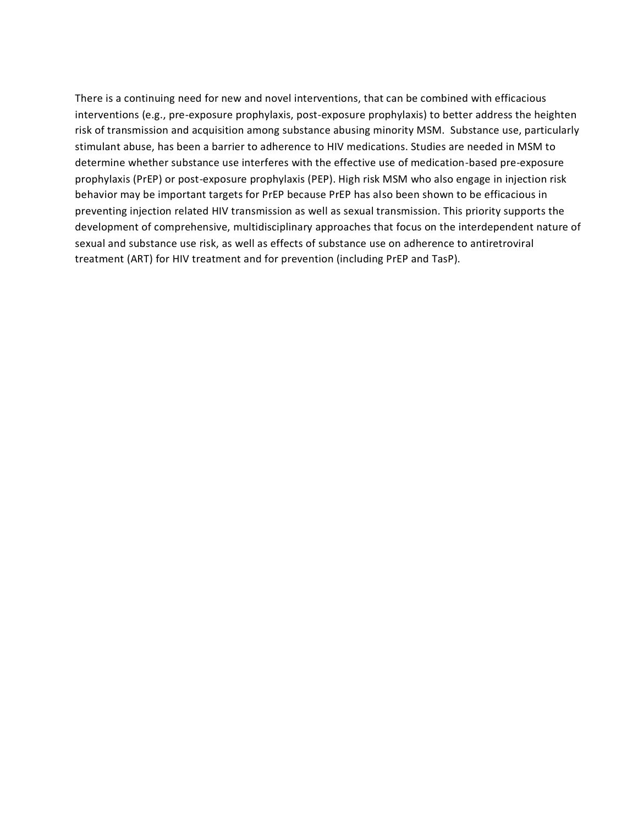There is a continuing need for new and novel interventions, that can be combined with efficacious interventions (e.g., pre-exposure prophylaxis, post-exposure prophylaxis) to better address the heighten risk of transmission and acquisition among substance abusing minority MSM. Substance use, particularly stimulant abuse, has been a barrier to adherence to HIV medications. Studies are needed in MSM to determine whether substance use interferes with the effective use of medication-based pre-exposure prophylaxis (PrEP) or post-exposure prophylaxis (PEP). High risk MSM who also engage in injection risk behavior may be important targets for PrEP because PrEP has also been shown to be efficacious in preventing injection related HIV transmission as well as sexual transmission. This priority supports the development of comprehensive, multidisciplinary approaches that focus on the interdependent nature of sexual and substance use risk, as well as effects of substance use on adherence to antiretroviral treatment (ART) for HIV treatment and for prevention (including PrEP and TasP).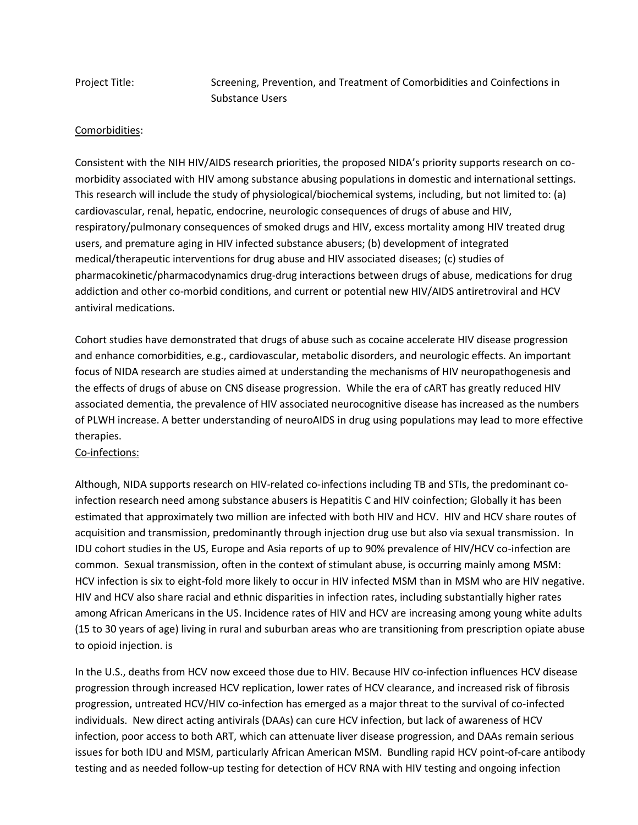Project Title: Screening, Prevention, and Treatment of Comorbidities and Coinfections in Substance Users

## Comorbidities:

Consistent with the NIH HIV/AIDS research priorities, the proposed NIDA's priority supports research on comorbidity associated with HIV among substance abusing populations in domestic and international settings. This research will include the study of physiological/biochemical systems, including, but not limited to: (a) cardiovascular, renal, hepatic, endocrine, neurologic consequences of drugs of abuse and HIV, respiratory/pulmonary consequences of smoked drugs and HIV, excess mortality among HIV treated drug users, and premature aging in HIV infected substance abusers; (b) development of integrated medical/therapeutic interventions for drug abuse and HIV associated diseases; (c) studies of pharmacokinetic/pharmacodynamics drug-drug interactions between drugs of abuse, medications for drug addiction and other co-morbid conditions, and current or potential new HIV/AIDS antiretroviral and HCV antiviral medications.

Cohort studies have demonstrated that drugs of abuse such as cocaine accelerate HIV disease progression and enhance comorbidities, e.g., cardiovascular, metabolic disorders, and neurologic effects. An important focus of NIDA research are studies aimed at understanding the mechanisms of HIV neuropathogenesis and the effects of drugs of abuse on CNS disease progression. While the era of cART has greatly reduced HIV associated dementia, the prevalence of HIV associated neurocognitive disease has increased as the numbers of PLWH increase. A better understanding of neuroAIDS in drug using populations may lead to more effective therapies.

## Co-infections:

Although, NIDA supports research on HIV-related co-infections including TB and STIs, the predominant coinfection research need among substance abusers is Hepatitis C and HIV coinfection; Globally it has been estimated that approximately two million are infected with both HIV and HCV. HIV and HCV share routes of acquisition and transmission, predominantly through injection drug use but also via sexual transmission. In IDU cohort studies in the US, Europe and Asia reports of up to 90% prevalence of HIV/HCV co-infection are common. Sexual transmission, often in the context of stimulant abuse, is occurring mainly among MSM: HCV infection is six to eight-fold more likely to occur in HIV infected MSM than in MSM who are HIV negative. HIV and HCV also share racial and ethnic disparities in infection rates, including substantially higher rates among African Americans in the US. Incidence rates of HIV and HCV are increasing among young white adults (15 to 30 years of age) living in rural and suburban areas who are transitioning from prescription opiate abuse to opioid injection. is

In the U.S., deaths from HCV now exceed those due to HIV. Because HIV co-infection influences HCV disease progression through increased HCV replication, lower rates of HCV clearance, and increased risk of fibrosis progression, untreated HCV/HIV co-infection has emerged as a major threat to the survival of co-infected individuals. New direct acting antivirals (DAAs) can cure HCV infection, but lack of awareness of HCV infection, poor access to both ART, which can attenuate liver disease progression, and DAAs remain serious issues for both IDU and MSM, particularly African American MSM. Bundling rapid HCV point-of-care antibody testing and as needed follow-up testing for detection of HCV RNA with HIV testing and ongoing infection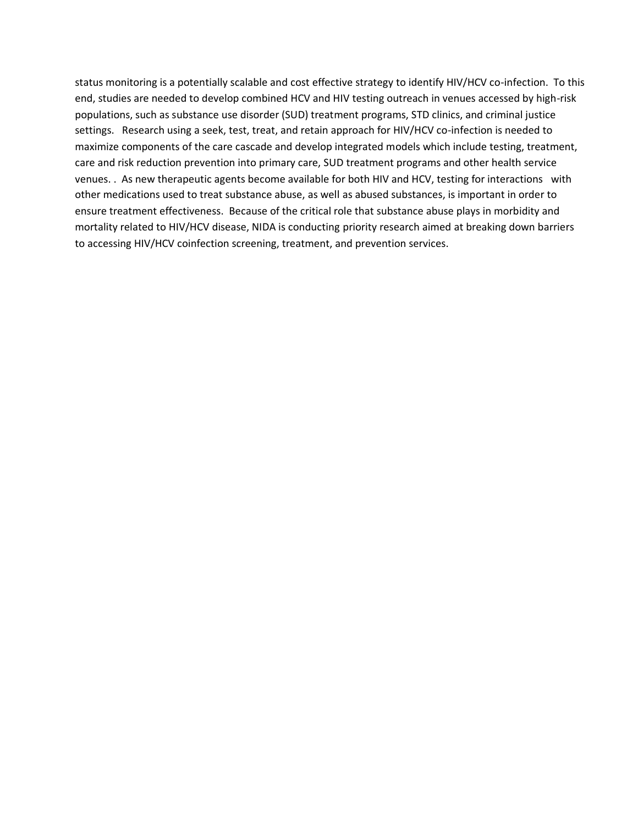status monitoring is a potentially scalable and cost effective strategy to identify HIV/HCV co-infection. To this end, studies are needed to develop combined HCV and HIV testing outreach in venues accessed by high-risk populations, such as substance use disorder (SUD) treatment programs, STD clinics, and criminal justice settings. Research using a seek, test, treat, and retain approach for HIV/HCV co-infection is needed to maximize components of the care cascade and develop integrated models which include testing, treatment, care and risk reduction prevention into primary care, SUD treatment programs and other health service venues. . As new therapeutic agents become available for both HIV and HCV, testing for interactions with other medications used to treat substance abuse, as well as abused substances, is important in order to ensure treatment effectiveness. Because of the critical role that substance abuse plays in morbidity and mortality related to HIV/HCV disease, NIDA is conducting priority research aimed at breaking down barriers to accessing HIV/HCV coinfection screening, treatment, and prevention services.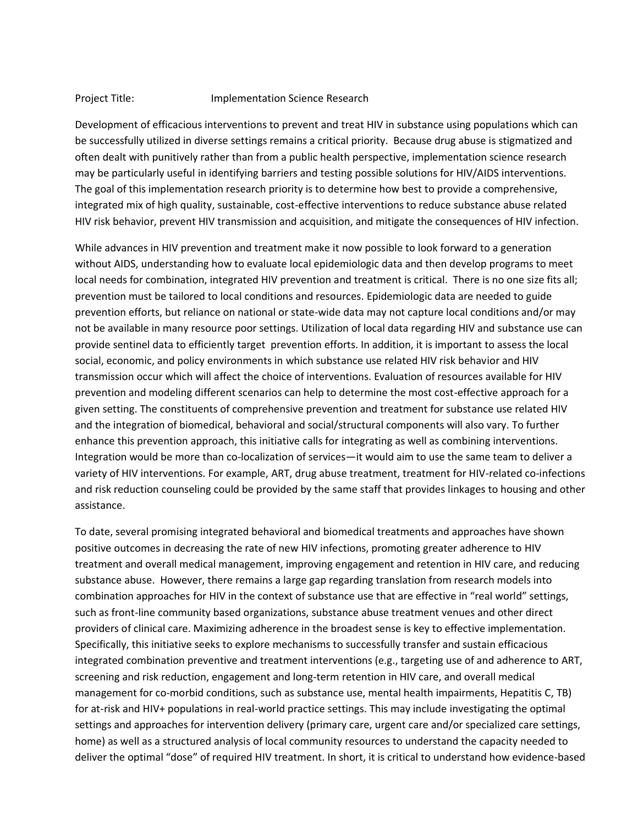#### Project Title: Implementation Science Research

Development of efficacious interventions to prevent and treat HIV in substance using populations which can be successfully utilized in diverse settings remains a critical priority. Because drug abuse is stigmatized and often dealt with punitively rather than from a public health perspective, implementation science research may be particularly useful in identifying barriers and testing possible solutions for HIV/AIDS interventions. The goal of this implementation research priority is to determine how best to provide a comprehensive, integrated mix of high quality, sustainable, cost-effective interventions to reduce substance abuse related HIV risk behavior, prevent HIV transmission and acquisition, and mitigate the consequences of HIV infection.

While advances in HIV prevention and treatment make it now possible to look forward to a generation without AIDS, understanding how to evaluate local epidemiologic data and then develop programs to meet local needs for combination, integrated HIV prevention and treatment is critical. There is no one size fits all; prevention must be tailored to local conditions and resources. Epidemiologic data are needed to guide prevention efforts, but reliance on national or state-wide data may not capture local conditions and/or may not be available in many resource poor settings. Utilization of local data regarding HIV and substance use can provide sentinel data to efficiently target prevention efforts. In addition, it is important to assess the local social, economic, and policy environments in which substance use related HIV risk behavior and HIV transmission occur which will affect the choice of interventions. Evaluation of resources available for HIV prevention and modeling different scenarios can help to determine the most cost-effective approach for a given setting. The constituents of comprehensive prevention and treatment for substance use related HIV and the integration of biomedical, behavioral and social/structural components will also vary. To further enhance this prevention approach, this initiative calls for integrating as well as combining interventions. Integration would be more than co-localization of services—it would aim to use the same team to deliver a variety of HIV interventions. For example, ART, drug abuse treatment, treatment for HIV-related co-infections and risk reduction counseling could be provided by the same staff that provides linkages to housing and other assistance.

To date, several promising integrated behavioral and biomedical treatments and approaches have shown positive outcomes in decreasing the rate of new HIV infections, promoting greater adherence to HIV treatment and overall medical management, improving engagement and retention in HIV care, and reducing substance abuse. However, there remains a large gap regarding translation from research models into combination approaches for HIV in the context of substance use that are effective in "real world" settings, such as front-line community based organizations, substance abuse treatment venues and other direct providers of clinical care. Maximizing adherence in the broadest sense is key to effective implementation. Specifically, this initiative seeks to explore mechanisms to successfully transfer and sustain efficacious integrated combination preventive and treatment interventions (e.g., targeting use of and adherence to ART, screening and risk reduction, engagement and long-term retention in HIV care, and overall medical management for co-morbid conditions, such as substance use, mental health impairments, Hepatitis C, TB) for at-risk and HIV+ populations in real-world practice settings. This may include investigating the optimal settings and approaches for intervention delivery (primary care, urgent care and/or specialized care settings, home) as well as a structured analysis of local community resources to understand the capacity needed to deliver the optimal "dose" of required HIV treatment. In short, it is critical to understand how evidence-based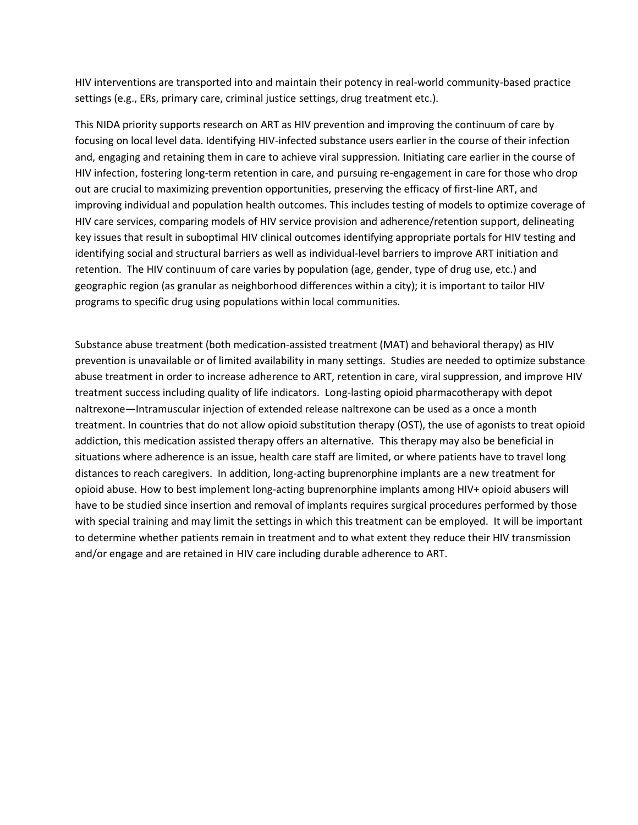HIV interventions are transported into and maintain their potency in real-world community-based practice settings (e.g., ERs, primary care, criminal justice settings, drug treatment etc.).

This NIDA priority supports research on ART as HIV prevention and improving the continuum of care by focusing on local level data. Identifying HIV-infected substance users earlier in the course of their infection and, engaging and retaining them in care to achieve viral suppression. Initiating care earlier in the course of HIV infection, fostering long-term retention in care, and pursuing re-engagement in care for those who drop out are crucial to maximizing prevention opportunities, preserving the efficacy of first-line ART, and improving individual and population health outcomes. This includes testing of models to optimize coverage of HIV care services, comparing models of HIV service provision and adherence/retention support, delineating key issues that result in suboptimal HIV clinical outcomes identifying appropriate portals for HIV testing and identifying social and structural barriers as well as individual-level barriers to improve ART initiation and retention. The HIV continuum of care varies by population (age, gender, type of drug use, etc.) and geographic region (as granular as neighborhood differences within a city); it is important to tailor HIV programs to specific drug using populations within local communities.

Substance abuse treatment (both medication-assisted treatment (MAT) and behavioral therapy) as HIV prevention is unavailable or of limited availability in many settings. Studies are needed to optimize substance abuse treatment in order to increase adherence to ART, retention in care, viral suppression, and improve HIV treatment success including quality of life indicators. Long-lasting opioid pharmacotherapy with depot naltrexone—Intramuscular injection of extended release naltrexone can be used as a once a month treatment. In countries that do not allow opioid substitution therapy (OST), the use of agonists to treat opioid addiction, this medication assisted therapy offers an alternative. This therapy may also be beneficial in situations where adherence is an issue, health care staff are limited, or where patients have to travel long distances to reach caregivers. In addition, long-acting buprenorphine implants are a new treatment for opioid abuse. How to best implement long-acting buprenorphine implants among HIV+ opioid abusers will have to be studied since insertion and removal of implants requires surgical procedures performed by those with special training and may limit the settings in which this treatment can be employed. It will be important to determine whether patients remain in treatment and to what extent they reduce their HIV transmission and/or engage and are retained in HIV care including durable adherence to ART.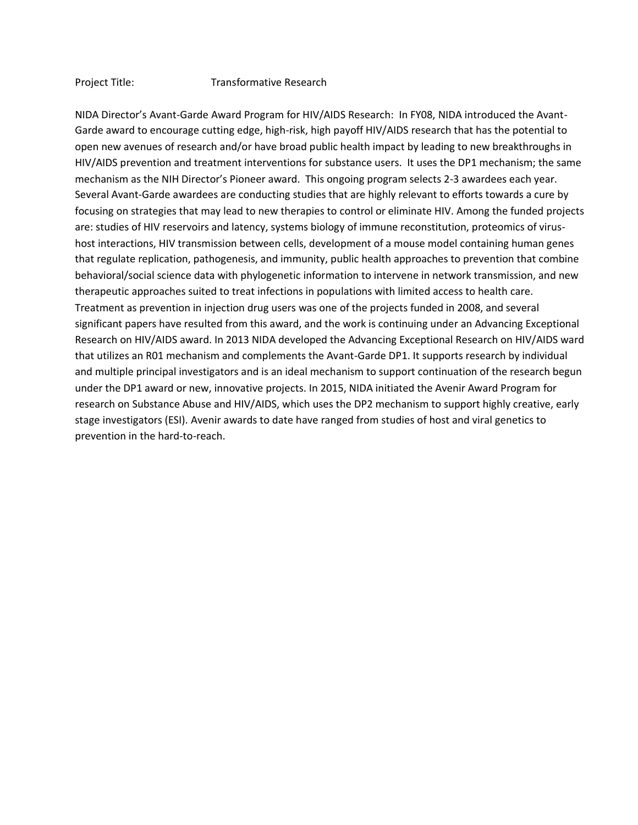#### Project Title: Transformative Research

NIDA Director's Avant-Garde Award Program for HIV/AIDS Research: In FY08, NIDA introduced the Avant-Garde award to encourage cutting edge, high-risk, high payoff HIV/AIDS research that has the potential to open new avenues of research and/or have broad public health impact by leading to new breakthroughs in HIV/AIDS prevention and treatment interventions for substance users. It uses the DP1 mechanism; the same mechanism as the NIH Director's Pioneer award. This ongoing program selects 2-3 awardees each year. Several Avant-Garde awardees are conducting studies that are highly relevant to efforts towards a cure by focusing on strategies that may lead to new therapies to control or eliminate HIV. Among the funded projects are: studies of HIV reservoirs and latency, systems biology of immune reconstitution, proteomics of virushost interactions, HIV transmission between cells, development of a mouse model containing human genes that regulate replication, pathogenesis, and immunity, public health approaches to prevention that combine behavioral/social science data with phylogenetic information to intervene in network transmission, and new therapeutic approaches suited to treat infections in populations with limited access to health care. Treatment as prevention in injection drug users was one of the projects funded in 2008, and several significant papers have resulted from this award, and the work is continuing under an Advancing Exceptional Research on HIV/AIDS award. In 2013 NIDA developed the Advancing Exceptional Research on HIV/AIDS ward that utilizes an R01 mechanism and complements the Avant-Garde DP1. It supports research by individual and multiple principal investigators and is an ideal mechanism to support continuation of the research begun under the DP1 award or new, innovative projects. In 2015, NIDA initiated the Avenir Award Program for research on Substance Abuse and HIV/AIDS, which uses the DP2 mechanism to support highly creative, early stage investigators (ESI). Avenir awards to date have ranged from studies of host and viral genetics to prevention in the hard-to-reach.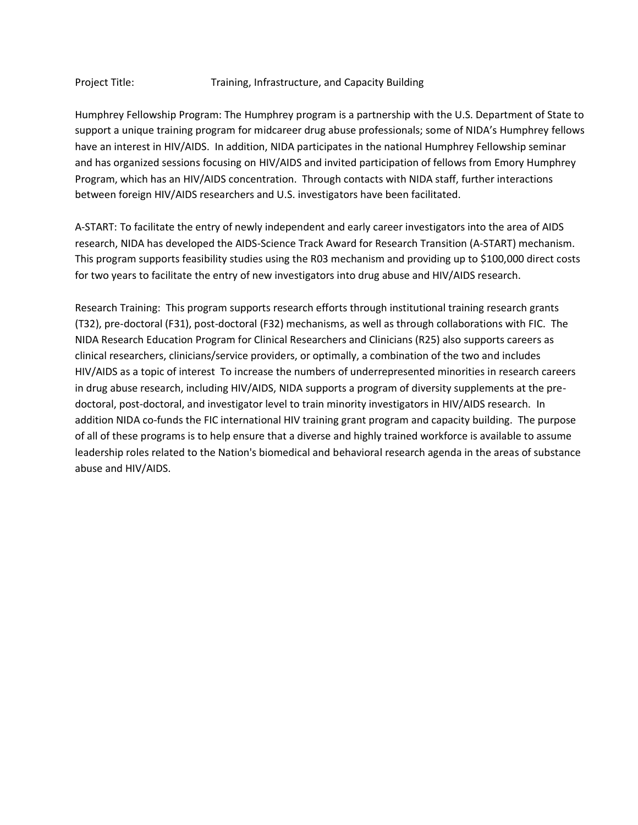### Project Title: The Training, Infrastructure, and Capacity Building

Humphrey Fellowship Program: The Humphrey program is a partnership with the U.S. Department of State to support a unique training program for midcareer drug abuse professionals; some of NIDA's Humphrey fellows have an interest in HIV/AIDS. In addition, NIDA participates in the national Humphrey Fellowship seminar and has organized sessions focusing on HIV/AIDS and invited participation of fellows from Emory Humphrey Program, which has an HIV/AIDS concentration. Through contacts with NIDA staff, further interactions between foreign HIV/AIDS researchers and U.S. investigators have been facilitated.

A-START: To facilitate the entry of newly independent and early career investigators into the area of AIDS research, NIDA has developed the AIDS-Science Track Award for Research Transition (A-START) mechanism. This program supports feasibility studies using the R03 mechanism and providing up to \$100,000 direct costs for two years to facilitate the entry of new investigators into drug abuse and HIV/AIDS research.

Research Training: This program supports research efforts through institutional training research grants (T32), pre-doctoral (F31), post-doctoral (F32) mechanisms, as well as through collaborations with FIC. The NIDA Research Education Program for Clinical Researchers and Clinicians (R25) also supports careers as clinical researchers, clinicians/service providers, or optimally, a combination of the two and includes HIV/AIDS as a topic of interest To increase the numbers of underrepresented minorities in research careers in drug abuse research, including HIV/AIDS, NIDA supports a program of diversity supplements at the predoctoral, post-doctoral, and investigator level to train minority investigators in HIV/AIDS research. In addition NIDA co-funds the FIC international HIV training grant program and capacity building. The purpose of all of these programs is to help ensure that a diverse and highly trained workforce is available to assume leadership roles related to the Nation's biomedical and behavioral research agenda in the areas of substance abuse and HIV/AIDS.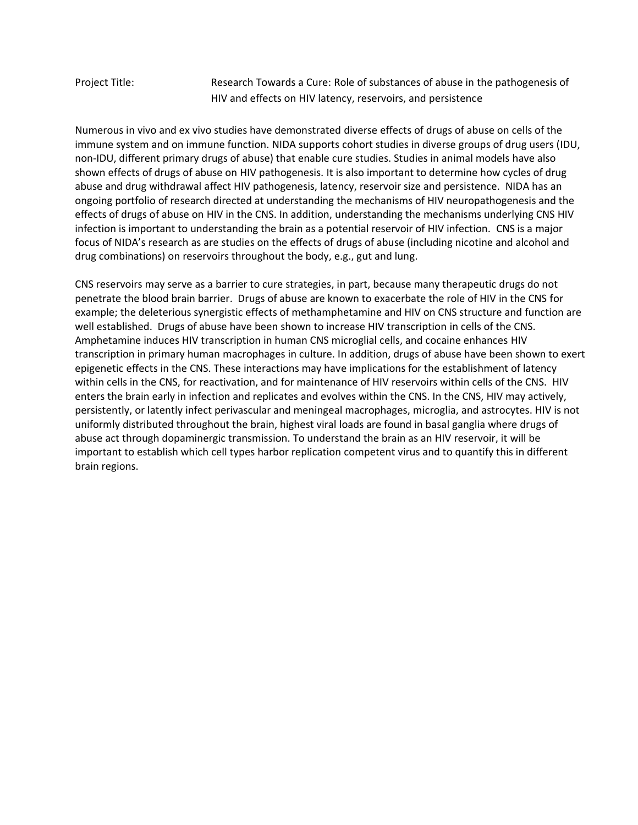Project Title: Research Towards a Cure: Role of substances of abuse in the pathogenesis of HIV and effects on HIV latency, reservoirs, and persistence

Numerous in vivo and ex vivo studies have demonstrated diverse effects of drugs of abuse on cells of the immune system and on immune function. NIDA supports cohort studies in diverse groups of drug users (IDU, non-IDU, different primary drugs of abuse) that enable cure studies. Studies in animal models have also shown effects of drugs of abuse on HIV pathogenesis. It is also important to determine how cycles of drug abuse and drug withdrawal affect HIV pathogenesis, latency, reservoir size and persistence. NIDA has an ongoing portfolio of research directed at understanding the mechanisms of HIV neuropathogenesis and the effects of drugs of abuse on HIV in the CNS. In addition, understanding the mechanisms underlying CNS HIV infection is important to understanding the brain as a potential reservoir of HIV infection. CNS is a major focus of NIDA's research as are studies on the effects of drugs of abuse (including nicotine and alcohol and drug combinations) on reservoirs throughout the body, e.g., gut and lung.

CNS reservoirs may serve as a barrier to cure strategies, in part, because many therapeutic drugs do not penetrate the blood brain barrier. Drugs of abuse are known to exacerbate the role of HIV in the CNS for example; the deleterious synergistic effects of methamphetamine and HIV on CNS structure and function are well established. Drugs of abuse have been shown to increase HIV transcription in cells of the CNS. Amphetamine induces HIV transcription in human CNS microglial cells, and cocaine enhances HIV transcription in primary human macrophages in culture. In addition, drugs of abuse have been shown to exert epigenetic effects in the CNS. These interactions may have implications for the establishment of latency within cells in the CNS, for reactivation, and for maintenance of HIV reservoirs within cells of the CNS. HIV enters the brain early in infection and replicates and evolves within the CNS. In the CNS, HIV may actively, persistently, or latently infect perivascular and meningeal macrophages, microglia, and astrocytes. HIV is not uniformly distributed throughout the brain, highest viral loads are found in basal ganglia where drugs of abuse act through dopaminergic transmission. To understand the brain as an HIV reservoir, it will be important to establish which cell types harbor replication competent virus and to quantify this in different brain regions.